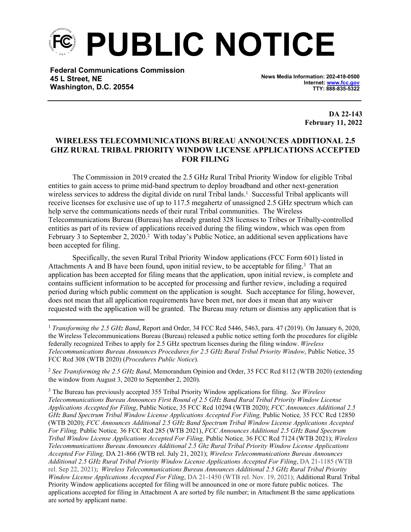**PUBLIC NOTICE**

**Federal Communications Commission 45 L Street, NE Washington, D.C. 20554**

**News Media Information: 202-418-0500 Internet: [www.fcc.gov](file:///C:/Users/craig.bomberger/AppData/Local/Microsoft/Windows/Temporary%20Internet%20Files/Content.Outlook/BCL5QM18/www.fcc.gov) TTY: 888-835-5322**

> **DA 22-143 February 11, 2022**

## **WIRELESS TELECOMMUNICATIONS BUREAU ANNOUNCES ADDITIONAL 2.5 GHZ RURAL TRIBAL PRIORITY WINDOW LICENSE APPLICATIONS ACCEPTED FOR FILING**

The Commission in 2019 created the 2.5 GHz Rural Tribal Priority Window for eligible Tribal entities to gain access to prime mid-band spectrum to deploy broadband and other next-generation wireless services to address the digital divide on rural Tribal lands.<sup>1</sup> Successful Tribal applicants will receive licenses for exclusive use of up to 117.5 megahertz of unassigned 2.5 GHz spectrum which can help serve the communications needs of their rural Tribal communities. The Wireless Telecommunications Bureau (Bureau) has already granted 328 licenses to Tribes or Tribally-controlled entities as part of its review of applications received during the filing window, which was open from February 3 to September 2, 2020.<sup>2</sup> With today's Public Notice, an additional seven applications have been accepted for filing.

Specifically, the seven Rural Tribal Priority Window applications (FCC Form 601) listed in Attachments A and B have been found, upon initial review, to be acceptable for filing.<sup>3</sup> That an application has been accepted for filing means that the application, upon initial review, is complete and contains sufficient information to be accepted for processing and further review, including a required period during which public comment on the application is sought. Such acceptance for filing, however, does not mean that all application requirements have been met, nor does it mean that any waiver requested with the application will be granted. The Bureau may return or dismiss any application that is

<sup>3</sup> The Bureau has previously accepted 355 Tribal Priority Window applications for filing. *See Wireless Telecommunications Bureau Announces First Round of 2.5 GHz Band Rural Tribal Priority Window License Applications Accepted for Filing*, Public Notice, 35 FCC Rcd 10294 (WTB 2020); *FCC Announces Additional 2.5 GHz Band Spectrum Tribal Window License Applications Accepted For Filing,* Public Notice*,* 35 FCC Rcd 12850 (WTB 2020); *FCC Announces Additional 2.5 GHz Band Spectrum Tribal Window License Applications Accepted For Filing,* Public Notice*,* 36 FCC Rcd 285 (WTB 2021), *FCC Announces Additional 2.5 GHz Band Spectrum Tribal Window License Applications Accepted For Filing,* Public Notice*,* 36 FCC Rcd 7124 (WTB 2021); *Wireless Telecommunications Bureau Announces Additional 2.5 Ghz Rural Tribal Priority Window License Applications Accepted For Filing,* DA 21-866 (WTB rel. July 21, 2021); *Wireless Telecommunications Bureau Announces Additional 2.5 GHz Rural Tribal Priority Window License Applications Accepted For Filing*, DA 21-1185 (WTB rel. Sep 22, 2021); *Wireless Telecommunications Bureau Announces Additional 2.5 GHz Rural Tribal Priority Window License Applications Accepted For Filing*, DA 21-1450 (WTB rel. Nov. 19, 2021); Additional Rural Tribal Priority Window applications accepted for filing will be announced in one or more future public notices. The applications accepted for filing in Attachment A are sorted by file number; in Attachment B the same applications are sorted by applicant name.

<sup>1</sup> *Transforming the 2.5 GHz Band*, Report and Order, 34 FCC Rcd 5446, 5463, para. 47 (2019). On January 6, 2020, the Wireless Telecommunications Bureau (Bureau) released a public notice setting forth the procedures for eligible federally recognized Tribes to apply for 2.5 GHz spectrum licenses during the filing window. *Wireless Telecommunications Bureau Announces Procedures for 2.5 GHz Rural Tribal Priority Window*, Public Notice, 35 FCC Rcd 308 (WTB 2020) (*Procedures Public Notice*).

<sup>2</sup> *See Transforming the 2.5 GHz Band*, Memorandum Opinion and Order, 35 FCC Rcd 8112 (WTB 2020) (extending the window from August 3, 2020 to September 2, 2020).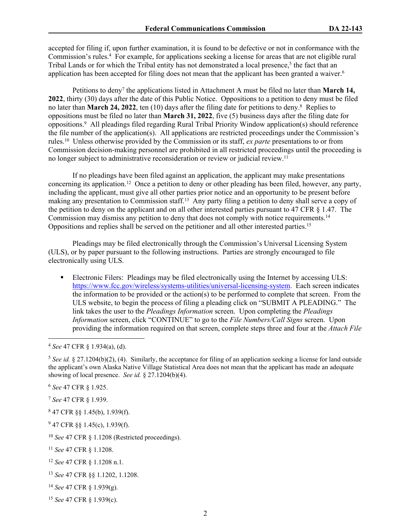accepted for filing if, upon further examination, it is found to be defective or not in conformance with the Commission's rules.<sup>4</sup> For example, for applications seeking a license for areas that are not eligible rural Tribal Lands or for which the Tribal entity has not demonstrated a local presence,<sup>5</sup> the fact that an application has been accepted for filing does not mean that the applicant has been granted a waiver.<sup>6</sup>

Petitions to deny<sup>7</sup> the applications listed in Attachment A must be filed no later than **March 14, 2022**, thirty (30) days after the date of this Public Notice. Oppositions to a petition to deny must be filed no later than **March 24, 2022**, ten (10) days after the filing date for petitions to deny.<sup>8</sup> Replies to oppositions must be filed no later than **March 31, 2022**, five (5) business days after the filing date for oppositions.<sup>9</sup> All pleadings filed regarding Rural Tribal Priority Window application(s) should reference the file number of the application(s). All applications are restricted proceedings under the Commission's rules.<sup>10</sup> Unless otherwise provided by the Commission or its staff, *ex parte* presentations to or from Commission decision-making personnel are prohibited in all restricted proceedings until the proceeding is no longer subject to administrative reconsideration or review or judicial review.<sup>11</sup>

If no pleadings have been filed against an application, the applicant may make presentations concerning its application.<sup>12</sup> Once a petition to deny or other pleading has been filed, however, any party, including the applicant, must give all other parties prior notice and an opportunity to be present before making any presentation to Commission staff.<sup>13</sup> Any party filing a petition to deny shall serve a copy of the petition to deny on the applicant and on all other interested parties pursuant to 47 CFR § 1.47. The Commission may dismiss any petition to deny that does not comply with notice requirements.<sup>14</sup> Oppositions and replies shall be served on the petitioner and all other interested parties.<sup>15</sup>

Pleadings may be filed electronically through the Commission's Universal Licensing System (ULS), or by paper pursuant to the following instructions. Parties are strongly encouraged to file electronically using ULS.

Electronic Filers: Pleadings may be filed electronically using the Internet by accessing ULS: <https://www.fcc.gov/wireless/systems-utilities/universal-licensing-system>. Each screen indicates the information to be provided or the action(s) to be performed to complete that screen. From the ULS website, to begin the process of filing a pleading click on "SUBMIT A PLEADING." The link takes the user to the *Pleadings Information* screen. Upon completing the *Pleadings Information* screen, click "CONTINUE" to go to the *File Numbers/Call Signs* screen. Upon providing the information required on that screen, complete steps three and four at the *Attach File*

<sup>6</sup> *See* 47 CFR § 1.925.

<sup>7</sup> *See* 47 CFR § 1.939.

8 47 CFR §§ 1.45(b), 1.939(f).

<sup>9</sup> 47 CFR §§ 1.45(c), 1.939(f).

<sup>10</sup> *See* 47 CFR § 1.1208 (Restricted proceedings).

<sup>11</sup> *See* 47 CFR § 1.1208.

- <sup>12</sup> *See* 47 CFR § 1.1208 n.1.
- <sup>13</sup> *See* 47 CFR §§ 1.1202, 1.1208.
- <sup>14</sup> *See* 47 CFR § 1.939(g).

<sup>4</sup> *See* 47 CFR § 1.934(a), (d).

<sup>&</sup>lt;sup>5</sup> See *id.* § 27.1204(b)(2), (4). Similarly, the acceptance for filing of an application seeking a license for land outside the applicant's own Alaska Native Village Statistical Area does not mean that the applicant has made an adequate showing of local presence. *See id.* § 27.1204(b)(4).

<sup>15</sup> *See* 47 CFR § 1.939(c).